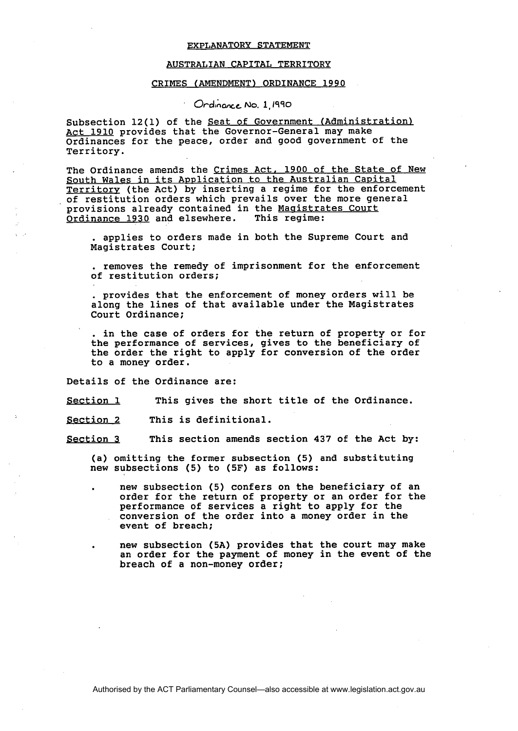## EXPLANATORY STATEMENT

## AUSTRALIAN CAPITAL TERRITORY

## CRIMES (AMENDMENT) ORDINANCE 1990

**Crdinance No. 1, 1990** 

Subsection 12(1) of the Seat of Government (Administration) Act 1910 provides that the Governor-General may make Ordinances for the peace, order and good government of the Territory.

The Ordinance amends the Crimes Act, 1900 of the State of New South Wales in its Application to the Australian Capital Territory (the Act) by inserting a regime for the enforcement of restitution orders which prevails over the more general provisions already contained in the Magistrates Court<br>Ordinance 1930 and elsewhere. This regime: Ordinance 1930 and elsewhere.

. applies to orders made in both the Supreme Court and Magistrates Court;

. removes the remedy of imprisonment for the enforcement of restitution orders;

. provides that the enforcement of money orders will be along the lines of that available under the Magistrates Court Ordinance;

. in the case of orders for the return of property or for the performance of services, gives to the beneficiary of the order the right to apply for conversion of the order to a money order.

Details of the Ordinance are:

Section 1 This gives the short title of the Ordinance.

Section 2 This is definitional.

Section **3** This section amends section 437 of the Act by:

(a) omitting the former subsection (5) and substituting new subsections (5) to (5F) as follows:

- . new subsection (5) confers on the beneficiary of an order for the return of property or an order for the performance of services a right to apply for the conversion of the order into a money order in the event of breach;
- . new subsection (5A) provides that the court may make an order for the payment of money in the event of the breach of a non-money order;